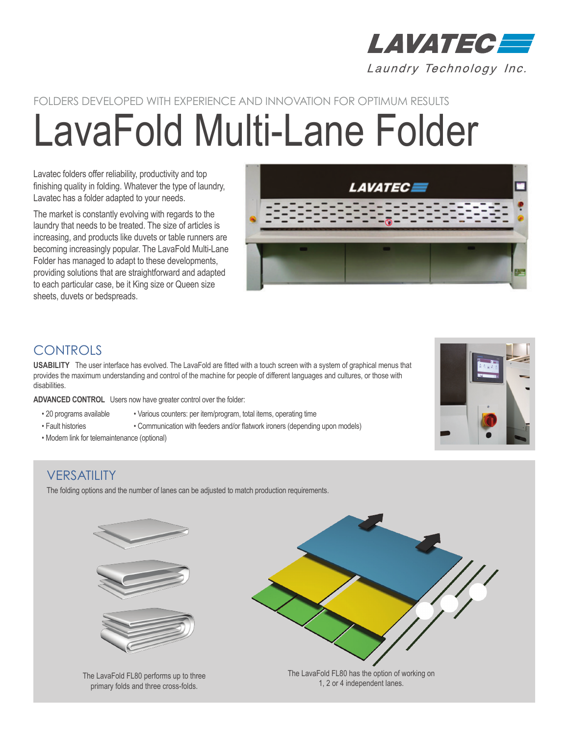

# LavaFold Multi-Lane Folder FOLDERS DEVELOPED WITH EXPERIENCE AND INNOVATION FOR OPTIMUM RESULTS

Lavatec folders offer reliability, productivity and top finishing quality in folding. Whatever the type of laundry, Lavatec has a folder adapted to your needs.

The market is constantly evolving with regards to the laundry that needs to be treated. The size of articles is increasing, and products like duvets or table runners are becoming increasingly popular. The LavaFold Multi-Lane Folder has managed to adapt to these developments, providing solutions that are straightforward and adapted to each particular case, be it King size or Queen size sheets, duvets or bedspreads.



# **CONTROLS**

**USABILITY** The user interface has evolved. The LavaFold are fitted with a touch screen with a system of graphical menus that provides the maximum understanding and control of the machine for people of different languages and cultures, or those with disabilities.

**ADVANCED CONTROL** Users now have greater control over the folder:

- 20 programs available Various counters: per item/program, total items, operating time
- Fault histories Communication with feeders and/or flatwork ironers (depending upon models)
- Modem link for telemaintenance (optional)

## **VERSATILITY**

The folding options and the number of lanes can be adjusted to match production requirements.



The LavaFold FL80 performs up to three primary folds and three cross-folds.



The LavaFold FL80 has the option of working on 1, 2 or 4 independent lanes.